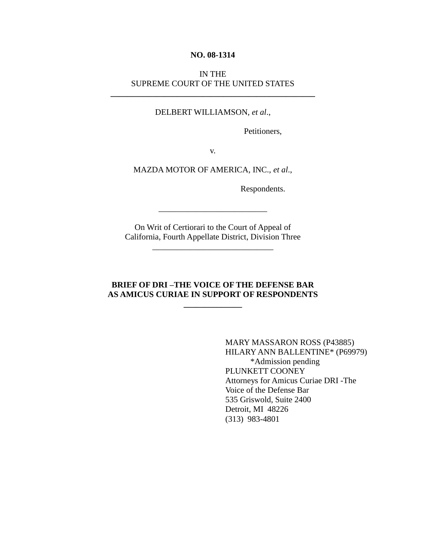#### **NO. 08-1314**

## IN THE SUPREME COURT OF THE UNITED STATES

**\_\_\_\_\_\_\_\_\_\_\_\_\_\_\_\_\_\_\_\_\_\_\_\_\_\_\_\_\_\_\_\_\_\_\_\_\_\_\_\_\_\_\_\_\_\_\_\_\_**

#### DELBERT WILLIAMSON, *et al*.,

Petitioners,

v.

#### MAZDA MOTOR OF AMERICA, INC., *et al*.,

Respondents.

On Writ of Certiorari to the Court of Appeal of California, Fourth Appellate District, Division Three

\_\_\_\_\_\_\_\_\_\_\_\_\_\_\_\_\_\_\_\_\_\_\_\_\_\_\_\_\_

\_\_\_\_\_\_\_\_\_\_\_\_\_\_\_\_\_\_\_\_\_\_\_\_\_\_

### **BRIEF OF DRI –THE VOICE OF THE DEFENSE BAR AS AMICUS CURIAE IN SUPPORT OF RESPONDENTS**

**\_\_\_\_\_\_\_\_\_\_\_\_\_\_**

MARY MASSARON ROSS (P43885) HILARY ANN BALLENTINE\* (P69979) \*Admission pending PLUNKETT COONEY Attorneys for Amicus Curiae DRI -The Voice of the Defense Bar 535 Griswold, Suite 2400 Detroit, MI 48226 (313) 983-4801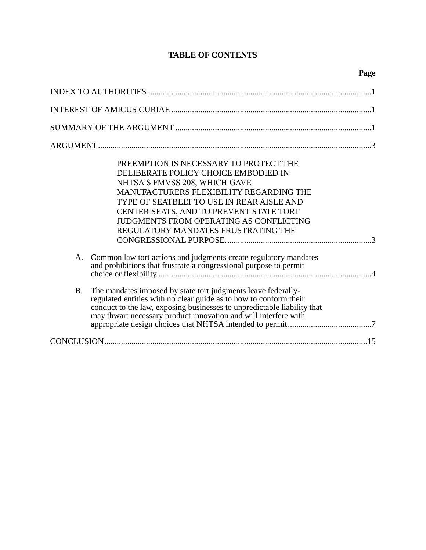# **TABLE OF CONTENTS**

# **Page**

| PREEMPTION IS NECESSARY TO PROTECT THE<br>DELIBERATE POLICY CHOICE EMBODIED IN<br>NHTSA'S FMVSS 208, WHICH GAVE<br>MANUFACTURERS FLEXIBILITY REGARDING THE<br>TYPE OF SEATBELT TO USE IN REAR AISLE AND<br>CENTER SEATS, AND TO PREVENT STATE TORT<br><b>JUDGMENTS FROM OPERATING AS CONFLICTING</b><br>REGULATORY MANDATES FRUSTRATING THE |  |
|---------------------------------------------------------------------------------------------------------------------------------------------------------------------------------------------------------------------------------------------------------------------------------------------------------------------------------------------|--|
| Common law tort actions and judgments create regulatory mandates<br>A.<br>and prohibitions that frustrate a congressional purpose to permit                                                                                                                                                                                                 |  |
| The mandates imposed by state tort judgments leave federally-<br><b>B.</b><br>regulated entities with no clear guide as to how to conform their<br>conduct to the law, exposing businesses to unpredictable liability that<br>may thwart necessary product innovation and will interfere with                                               |  |
|                                                                                                                                                                                                                                                                                                                                             |  |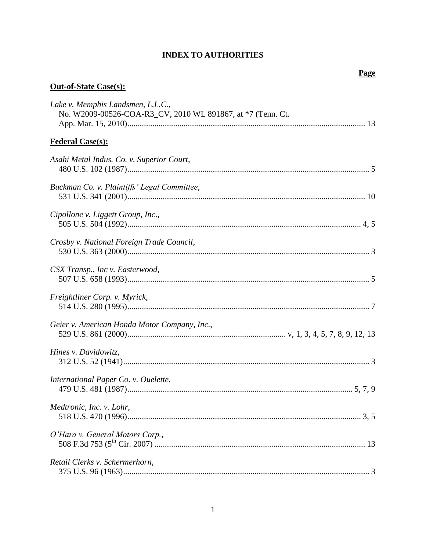# **INDEX TO AUTHORITIES**

# Page

# <span id="page-2-0"></span>**Out-of-State Case(s):**

| Lake v. Memphis Landsmen, L.L.C.,<br>No. W2009-00526-COA-R3_CV, 2010 WL 891867, at *7 (Tenn. Ct. |  |
|--------------------------------------------------------------------------------------------------|--|
| <b>Federal Case(s):</b>                                                                          |  |
| Asahi Metal Indus. Co. v. Superior Court,                                                        |  |
| Buckman Co. v. Plaintiffs' Legal Committee,                                                      |  |
| Cipollone v. Liggett Group, Inc.,                                                                |  |
| Crosby v. National Foreign Trade Council,                                                        |  |
| CSX Transp., Inc v. Easterwood,                                                                  |  |
| Freightliner Corp. v. Myrick,                                                                    |  |
| Geier v. American Honda Motor Company, Inc.,                                                     |  |
| Hines v. Davidowitz,                                                                             |  |
| International Paper Co. v. Ouelette,                                                             |  |
| Medtronic, Inc. v. Lohr,                                                                         |  |
| O'Hara v. General Motors Corp.,                                                                  |  |
| Retail Clerks v. Schermerhorn,                                                                   |  |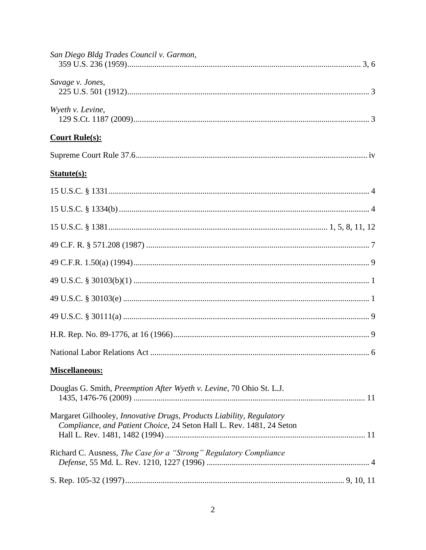| San Diego Bldg Trades Council v. Garmon,                                                                                                     |
|----------------------------------------------------------------------------------------------------------------------------------------------|
| Savage v. Jones,                                                                                                                             |
| Wyeth v. Levine,                                                                                                                             |
| <b>Court Rule(s):</b>                                                                                                                        |
|                                                                                                                                              |
| Statute(s):                                                                                                                                  |
|                                                                                                                                              |
|                                                                                                                                              |
|                                                                                                                                              |
|                                                                                                                                              |
|                                                                                                                                              |
|                                                                                                                                              |
|                                                                                                                                              |
|                                                                                                                                              |
|                                                                                                                                              |
|                                                                                                                                              |
| <b>Miscellaneous:</b>                                                                                                                        |
| Douglas G. Smith, Preemption After Wyeth v. Levine, 70 Ohio St. L.J.                                                                         |
| Margaret Gilhooley, Innovative Drugs, Products Liability, Regulatory<br>Compliance, and Patient Choice, 24 Seton Hall L. Rev. 1481, 24 Seton |
| Richard C. Ausness, The Case for a "Strong" Regulatory Compliance                                                                            |
|                                                                                                                                              |
|                                                                                                                                              |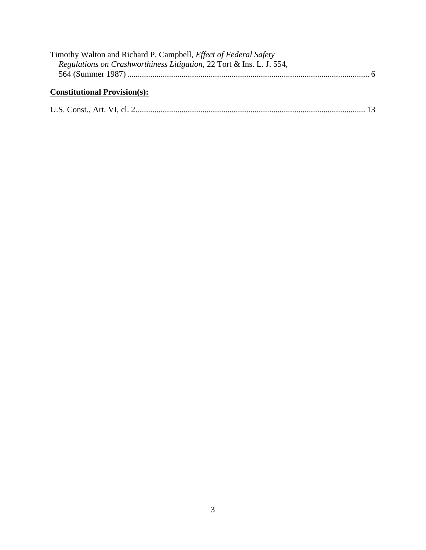| Timothy Walton and Richard P. Campbell, <i>Effect of Federal Safety</i> |  |
|-------------------------------------------------------------------------|--|
| Regulations on Crashworthiness Litigation, 22 Tort & Ins. L. J. 554,    |  |
|                                                                         |  |
|                                                                         |  |

# **Constitutional Provision(s):**

|--|--|--|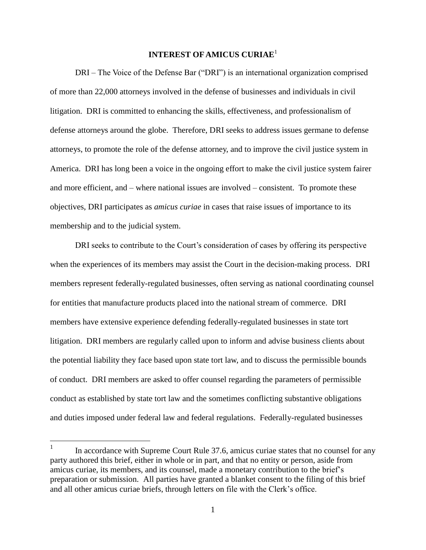## <span id="page-5-0"></span>**INTEREST OF AMICUS CURIAE**<sup>1</sup>

DRI – The Voice of the Defense Bar ("DRI") is an international organization comprised of more than 22,000 attorneys involved in the defense of businesses and individuals in civil litigation. DRI is committed to enhancing the skills, effectiveness, and professionalism of defense attorneys around the globe. Therefore, DRI seeks to address issues germane to defense attorneys, to promote the role of the defense attorney, and to improve the civil justice system in America. DRI has long been a voice in the ongoing effort to make the civil justice system fairer and more efficient, and – where national issues are involved – consistent. To promote these objectives, DRI participates as *amicus curiae* in cases that raise issues of importance to its membership and to the judicial system.

DRI seeks to contribute to the Court"s consideration of cases by offering its perspective when the experiences of its members may assist the Court in the decision-making process. DRI members represent federally-regulated businesses, often serving as national coordinating counsel for entities that manufacture products placed into the national stream of commerce. DRI members have extensive experience defending federally-regulated businesses in state tort litigation. DRI members are regularly called upon to inform and advise business clients about the potential liability they face based upon state tort law, and to discuss the permissible bounds of conduct. DRI members are asked to offer counsel regarding the parameters of permissible conduct as established by state tort law and the sometimes conflicting substantive obligations and duties imposed under federal law and federal regulations. Federally-regulated businesses

 $\overline{a}$ 

<sup>1</sup> In accordance with Supreme Court Rule 37.6, amicus curiae states that no counsel for any party authored this brief, either in whole or in part, and that no entity or person, aside from amicus curiae, its members, and its counsel, made a monetary contribution to the brief"s preparation or submission. All parties have granted a blanket consent to the filing of this brief and all other amicus curiae briefs, through letters on file with the Clerk"s office.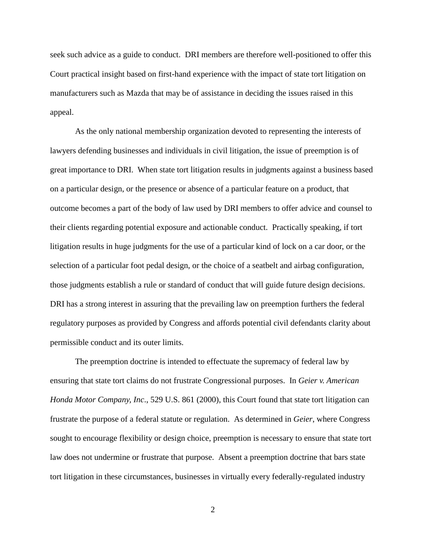seek such advice as a guide to conduct. DRI members are therefore well-positioned to offer this Court practical insight based on first-hand experience with the impact of state tort litigation on manufacturers such as Mazda that may be of assistance in deciding the issues raised in this appeal.

As the only national membership organization devoted to representing the interests of lawyers defending businesses and individuals in civil litigation, the issue of preemption is of great importance to DRI. When state tort litigation results in judgments against a business based on a particular design, or the presence or absence of a particular feature on a product, that outcome becomes a part of the body of law used by DRI members to offer advice and counsel to their clients regarding potential exposure and actionable conduct. Practically speaking, if tort litigation results in huge judgments for the use of a particular kind of lock on a car door, or the selection of a particular foot pedal design, or the choice of a seatbelt and airbag configuration, those judgments establish a rule or standard of conduct that will guide future design decisions. DRI has a strong interest in assuring that the prevailing law on preemption furthers the federal regulatory purposes as provided by Congress and affords potential civil defendants clarity about permissible conduct and its outer limits.

The preemption doctrine is intended to effectuate the supremacy of federal law by ensuring that state tort claims do not frustrate Congressional purposes. In *Geier v. American Honda Motor Company, Inc*., 529 U.S. 861 (2000), this Court found that state tort litigation can frustrate the purpose of a federal statute or regulation. As determined in *Geier*, where Congress sought to encourage flexibility or design choice, preemption is necessary to ensure that state tort law does not undermine or frustrate that purpose. Absent a preemption doctrine that bars state tort litigation in these circumstances, businesses in virtually every federally-regulated industry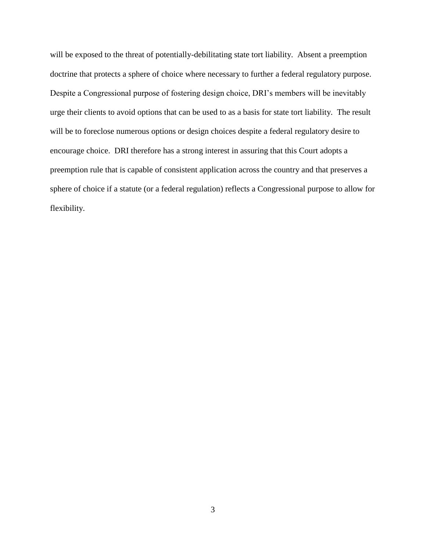will be exposed to the threat of potentially-debilitating state tort liability. Absent a preemption doctrine that protects a sphere of choice where necessary to further a federal regulatory purpose. Despite a Congressional purpose of fostering design choice, DRI"s members will be inevitably urge their clients to avoid options that can be used to as a basis for state tort liability. The result will be to foreclose numerous options or design choices despite a federal regulatory desire to encourage choice. DRI therefore has a strong interest in assuring that this Court adopts a preemption rule that is capable of consistent application across the country and that preserves a sphere of choice if a statute (or a federal regulation) reflects a Congressional purpose to allow for flexibility.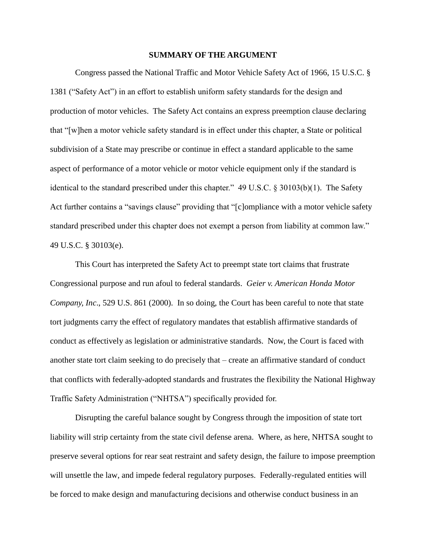#### **SUMMARY OF THE ARGUMENT**

<span id="page-8-0"></span>Congress passed the National Traffic and Motor Vehicle Safety Act of 1966, 15 U.S.C. § 1381 ("Safety Act") in an effort to establish uniform safety standards for the design and production of motor vehicles. The Safety Act contains an express preemption clause declaring that "[w]hen a motor vehicle safety standard is in effect under this chapter, a State or political subdivision of a State may prescribe or continue in effect a standard applicable to the same aspect of performance of a motor vehicle or motor vehicle equipment only if the standard is identical to the standard prescribed under this chapter." 49 U.S.C. § 30103(b)(1). The Safety Act further contains a "savings clause" providing that "[c]ompliance with a motor vehicle safety standard prescribed under this chapter does not exempt a person from liability at common law." 49 U.S.C. § 30103(e).

This Court has interpreted the Safety Act to preempt state tort claims that frustrate Congressional purpose and run afoul to federal standards. *Geier v. American Honda Motor Company, Inc*., 529 U.S. 861 (2000). In so doing, the Court has been careful to note that state tort judgments carry the effect of regulatory mandates that establish affirmative standards of conduct as effectively as legislation or administrative standards. Now, the Court is faced with another state tort claim seeking to do precisely that – create an affirmative standard of conduct that conflicts with federally-adopted standards and frustrates the flexibility the National Highway Traffic Safety Administration ("NHTSA") specifically provided for.

Disrupting the careful balance sought by Congress through the imposition of state tort liability will strip certainty from the state civil defense arena. Where, as here, NHTSA sought to preserve several options for rear seat restraint and safety design, the failure to impose preemption will unsettle the law, and impede federal regulatory purposes. Federally-regulated entities will be forced to make design and manufacturing decisions and otherwise conduct business in an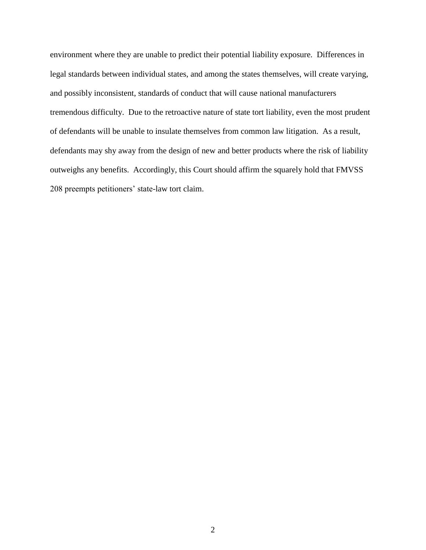environment where they are unable to predict their potential liability exposure. Differences in legal standards between individual states, and among the states themselves, will create varying, and possibly inconsistent, standards of conduct that will cause national manufacturers tremendous difficulty. Due to the retroactive nature of state tort liability, even the most prudent of defendants will be unable to insulate themselves from common law litigation. As a result, defendants may shy away from the design of new and better products where the risk of liability outweighs any benefits. Accordingly, this Court should affirm the squarely hold that FMVSS 208 preempts petitioners" state-law tort claim.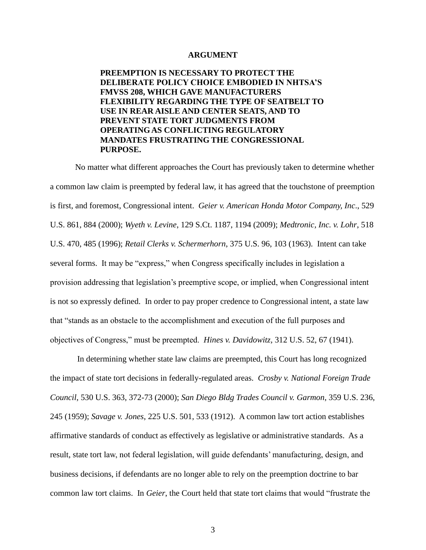#### **ARGUMENT**

<span id="page-10-1"></span><span id="page-10-0"></span>**PREEMPTION IS NECESSARY TO PROTECT THE DELIBERATE POLICY CHOICE EMBODIED IN NHTSA'S FMVSS 208, WHICH GAVE MANUFACTURERS FLEXIBILITY REGARDING THE TYPE OF SEATBELT TO USE IN REAR AISLE AND CENTER SEATS, AND TO PREVENT STATE TORT JUDGMENTS FROM OPERATING AS CONFLICTING REGULATORY MANDATES FRUSTRATING THE CONGRESSIONAL PURPOSE.** 

No matter what different approaches the Court has previously taken to determine whether a common law claim is preempted by federal law, it has agreed that the touchstone of preemption is first, and foremost, Congressional intent. *Geier v. American Honda Motor Company, Inc*., 529 U.S. 861, 884 (2000); *Wyeth v. Levine*, 129 S.Ct. 1187, 1194 (2009); *Medtronic, Inc. v. Lohr*, 518 U.S. 470, 485 (1996); *Retail Clerks v. Schermerhorn*, 375 U.S. 96, 103 (1963). Intent can take several forms. It may be "express," when Congress specifically includes in legislation a provision addressing that legislation"s preemptive scope, or implied, when Congressional intent is not so expressly defined. In order to pay proper credence to Congressional intent, a state law that "stands as an obstacle to the accomplishment and execution of the full purposes and objectives of Congress," must be preempted. *Hines v. Davidowitz,* 312 U.S. 52, 67 (1941).

In determining whether state law claims are preempted, this Court has long recognized the impact of state tort decisions in federally-regulated areas. *Crosby v. National Foreign Trade Council*, 530 U.S. 363, 372-73 (2000); *San Diego Bldg Trades Council v. Garmon*, 359 U.S. 236, 245 (1959); *Savage v. Jones*, 225 U.S. 501, 533 (1912). A common law tort action establishes affirmative standards of conduct as effectively as legislative or administrative standards. As a result, state tort law, not federal legislation, will guide defendants" manufacturing, design, and business decisions, if defendants are no longer able to rely on the preemption doctrine to bar common law tort claims. In *Geier*, the Court held that state tort claims that would "frustrate the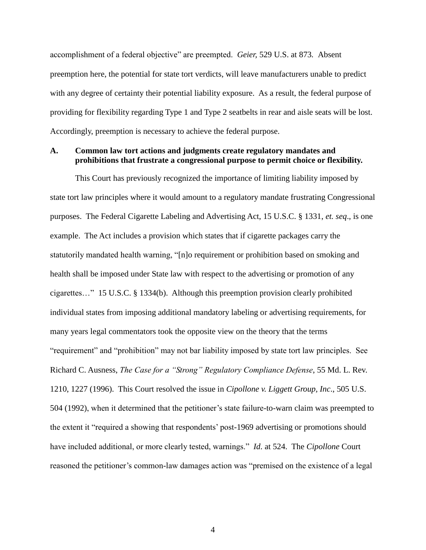accomplishment of a federal objective" are preempted. *Geier,* 529 U.S. at 873*.* Absent preemption here, the potential for state tort verdicts, will leave manufacturers unable to predict with any degree of certainty their potential liability exposure. As a result, the federal purpose of providing for flexibility regarding Type 1 and Type 2 seatbelts in rear and aisle seats will be lost. Accordingly, preemption is necessary to achieve the federal purpose.

### <span id="page-11-0"></span>**A. Common law tort actions and judgments create regulatory mandates and prohibitions that frustrate a congressional purpose to permit choice or flexibility.**

This Court has previously recognized the importance of limiting liability imposed by state tort law principles where it would amount to a regulatory mandate frustrating Congressional purposes. The Federal Cigarette Labeling and Advertising Act, 15 U.S.C. § 1331, *et. seq*., is one example. The Act includes a provision which states that if cigarette packages carry the statutorily mandated health warning, "[n]o requirement or prohibition based on smoking and health shall be imposed under State law with respect to the advertising or promotion of any cigarettes…" 15 U.S.C. § 1334(b). Although this preemption provision clearly prohibited individual states from imposing additional mandatory labeling or advertising requirements, for many years legal commentators took the opposite view on the theory that the terms "requirement" and "prohibition" may not bar liability imposed by state tort law principles. See Richard C. Ausness, *The Case for a "Strong" Regulatory Compliance Defense*, 55 Md. L. Rev. 1210, 1227 (1996). This Court resolved the issue in *Cipollone v. Liggett Group, Inc*., 505 U.S. 504 (1992), when it determined that the petitioner"s state failure-to-warn claim was preempted to the extent it "required a showing that respondents" post-1969 advertising or promotions should have included additional, or more clearly tested, warnings." *Id*. at 524. The *Cipollone* Court reasoned the petitioner's common-law damages action was "premised on the existence of a legal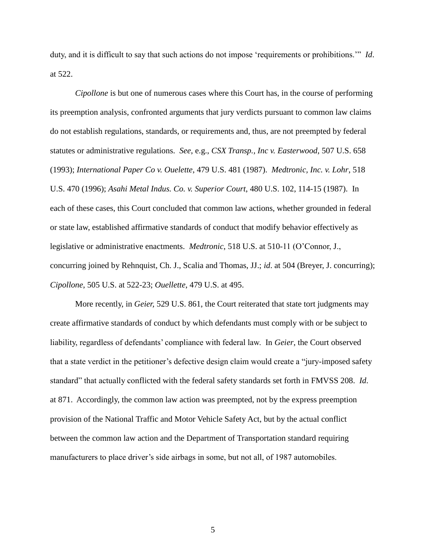duty, and it is difficult to say that such actions do not impose "requirements or prohibitions."" *Id*. at 522.

*Cipollone* is but one of numerous cases where this Court has, in the course of performing its preemption analysis, confronted arguments that jury verdicts pursuant to common law claims do not establish regulations, standards, or requirements and, thus, are not preempted by federal statutes or administrative regulations. *See*, e.g., *CSX Transp., Inc v. Easterwood*, 507 U.S. 658 (1993); *International Paper Co v. Ouelette*, 479 U.S. 481 (1987). *Medtronic, Inc. v. Lohr*, 518 U.S. 470 (1996); *Asahi Metal Indus. Co. v. Superior Court*, 480 U.S. 102, 114-15 (1987). In each of these cases, this Court concluded that common law actions, whether grounded in federal or state law, established affirmative standards of conduct that modify behavior effectively as legislative or administrative enactments. *Medtronic*, 518 U.S. at 510-11 (O"Connor, J., concurring joined by Rehnquist, Ch. J., Scalia and Thomas, JJ.; *id*. at 504 (Breyer, J. concurring); *Cipollone*, 505 U.S. at 522-23; *Ouellette*, 479 U.S. at 495.

More recently, in *Geier,* 529 U.S. 861, the Court reiterated that state tort judgments may create affirmative standards of conduct by which defendants must comply with or be subject to liability, regardless of defendants' compliance with federal law. In *Geier*, the Court observed that a state verdict in the petitioner"s defective design claim would create a "jury-imposed safety standard" that actually conflicted with the federal safety standards set forth in FMVSS 208. *Id*. at 871. Accordingly, the common law action was preempted, not by the express preemption provision of the National Traffic and Motor Vehicle Safety Act, but by the actual conflict between the common law action and the Department of Transportation standard requiring manufacturers to place driver's side airbags in some, but not all, of 1987 automobiles.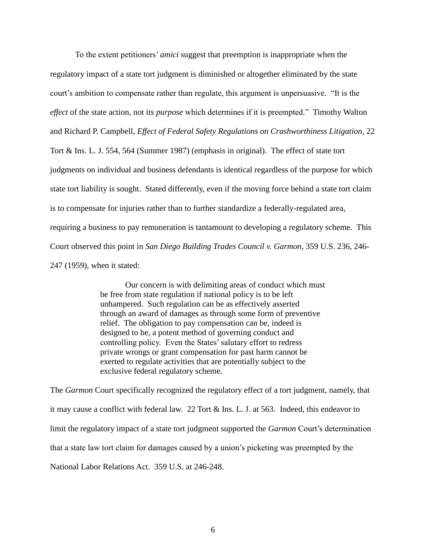To the extent petitioners" *amici* suggest that preemption is inappropriate when the regulatory impact of a state tort judgment is diminished or altogether eliminated by the state court"s ambition to compensate rather than regulate, this argument is unpersuasive. "It is the *effect* of the state action, not its *purpose* which determines if it is preempted." Timothy Walton and Richard P. Campbell, *Effect of Federal Safety Regulations on Crashworthiness Litigation*, 22 Tort & Ins. L. J. 554, 564 (Summer 1987) (emphasis in original). The effect of state tort judgments on individual and business defendants is identical regardless of the purpose for which state tort liability is sought. Stated differently, even if the moving force behind a state tort claim is to compensate for injuries rather than to further standardize a federally-regulated area, requiring a business to pay remuneration is tantamount to developing a regulatory scheme. This Court observed this point in *San Diego Building Trades Council v. Garmon*, 359 U.S. 236, 246- 247 (1959), when it stated:

> Our concern is with delimiting areas of conduct which must be free from state regulation if national policy is to be left unhampered. Such regulation can be as effectively asserted through an award of damages as through some form of preventive relief. The obligation to pay compensation can be, indeed is designed to be, a potent method of governing conduct and controlling policy. Even the States" salutary effort to redress private wrongs or grant compensation for past harm cannot be exerted to regulate activities that are potentially subject to the exclusive federal regulatory scheme.

The *Garmon* Court specifically recognized the regulatory effect of a tort judgment, namely, that it may cause a conflict with federal law. 22 Tort & Ins. L. J. at 563. Indeed, this endeavor to limit the regulatory impact of a state tort judgment supported the *Garmon* Court"s determination that a state law tort claim for damages caused by a union"s picketing was preempted by the National Labor Relations Act. 359 U.S. at 246-248.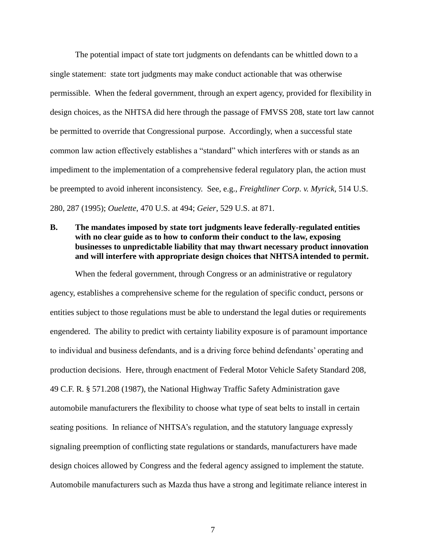The potential impact of state tort judgments on defendants can be whittled down to a single statement: state tort judgments may make conduct actionable that was otherwise permissible. When the federal government, through an expert agency, provided for flexibility in design choices, as the NHTSA did here through the passage of FMVSS 208, state tort law cannot be permitted to override that Congressional purpose. Accordingly, when a successful state common law action effectively establishes a "standard" which interferes with or stands as an impediment to the implementation of a comprehensive federal regulatory plan, the action must be preempted to avoid inherent inconsistency. See, e.g., *Freightliner Corp. v. Myrick*, 514 U.S. 280, 287 (1995); *Ouelette*, 470 U.S. at 494; *Geier*, 529 U.S. at 871.

## <span id="page-14-0"></span>**B. The mandates imposed by state tort judgments leave federally-regulated entities with no clear guide as to how to conform their conduct to the law, exposing businesses to unpredictable liability that may thwart necessary product innovation and will interfere with appropriate design choices that NHTSA intended to permit.**

When the federal government, through Congress or an administrative or regulatory agency, establishes a comprehensive scheme for the regulation of specific conduct, persons or entities subject to those regulations must be able to understand the legal duties or requirements engendered. The ability to predict with certainty liability exposure is of paramount importance to individual and business defendants, and is a driving force behind defendants" operating and production decisions. Here, through enactment of Federal Motor Vehicle Safety Standard 208, 49 C.F. R. § 571.208 (1987), the National Highway Traffic Safety Administration gave automobile manufacturers the flexibility to choose what type of seat belts to install in certain seating positions. In reliance of NHTSA's regulation, and the statutory language expressly signaling preemption of conflicting state regulations or standards, manufacturers have made design choices allowed by Congress and the federal agency assigned to implement the statute. Automobile manufacturers such as Mazda thus have a strong and legitimate reliance interest in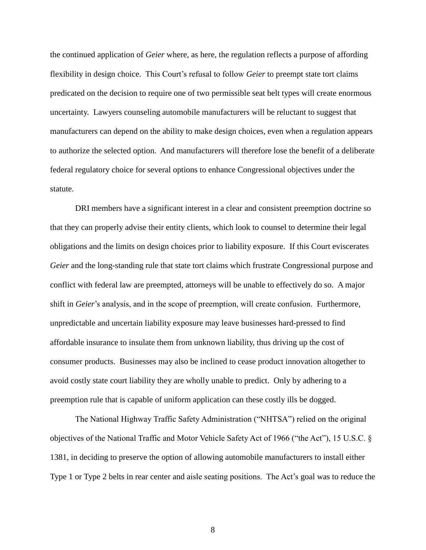the continued application of *Geier* where, as here, the regulation reflects a purpose of affording flexibility in design choice. This Court's refusal to follow *Geier* to preempt state tort claims predicated on the decision to require one of two permissible seat belt types will create enormous uncertainty. Lawyers counseling automobile manufacturers will be reluctant to suggest that manufacturers can depend on the ability to make design choices, even when a regulation appears to authorize the selected option. And manufacturers will therefore lose the benefit of a deliberate federal regulatory choice for several options to enhance Congressional objectives under the statute.

DRI members have a significant interest in a clear and consistent preemption doctrine so that they can properly advise their entity clients, which look to counsel to determine their legal obligations and the limits on design choices prior to liability exposure. If this Court eviscerates *Geier* and the long-standing rule that state tort claims which frustrate Congressional purpose and conflict with federal law are preempted, attorneys will be unable to effectively do so. A major shift in *Geier*'s analysis, and in the scope of preemption, will create confusion. Furthermore, unpredictable and uncertain liability exposure may leave businesses hard-pressed to find affordable insurance to insulate them from unknown liability, thus driving up the cost of consumer products. Businesses may also be inclined to cease product innovation altogether to avoid costly state court liability they are wholly unable to predict. Only by adhering to a preemption rule that is capable of uniform application can these costly ills be dogged.

The National Highway Traffic Safety Administration ("NHTSA") relied on the original objectives of the National Traffic and Motor Vehicle Safety Act of 1966 ("the Act"), 15 U.S.C. § 1381, in deciding to preserve the option of allowing automobile manufacturers to install either Type 1 or Type 2 belts in rear center and aisle seating positions. The Act's goal was to reduce the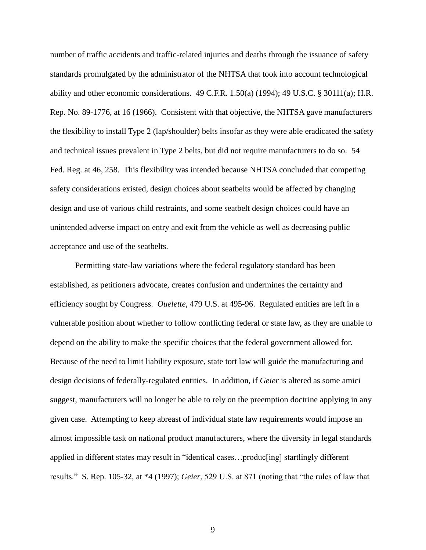number of traffic accidents and traffic-related injuries and deaths through the issuance of safety standards promulgated by the administrator of the NHTSA that took into account technological ability and other economic considerations. 49 C.F.R. 1.50(a) (1994); 49 U.S.C. § 30111(a); H.R. Rep. No. 89-1776, at 16 (1966). Consistent with that objective, the NHTSA gave manufacturers the flexibility to install Type 2 (lap/shoulder) belts insofar as they were able eradicated the safety and technical issues prevalent in Type 2 belts, but did not require manufacturers to do so. 54 Fed. Reg. at 46, 258. This flexibility was intended because NHTSA concluded that competing safety considerations existed, design choices about seatbelts would be affected by changing design and use of various child restraints, and some seatbelt design choices could have an unintended adverse impact on entry and exit from the vehicle as well as decreasing public acceptance and use of the seatbelts.

Permitting state-law variations where the federal regulatory standard has been established, as petitioners advocate, creates confusion and undermines the certainty and efficiency sought by Congress. *Ouelette*, 479 U.S. at 495-96. Regulated entities are left in a vulnerable position about whether to follow conflicting federal or state law, as they are unable to depend on the ability to make the specific choices that the federal government allowed for. Because of the need to limit liability exposure, state tort law will guide the manufacturing and design decisions of federally-regulated entities. In addition, if *Geier* is altered as some amici suggest, manufacturers will no longer be able to rely on the preemption doctrine applying in any given case. Attempting to keep abreast of individual state law requirements would impose an almost impossible task on national product manufacturers, where the diversity in legal standards applied in different states may result in "identical cases…produc[ing] startlingly different results." S. Rep. 105-32, at \*4 (1997); *Geier*, 529 U.S. at 871 (noting that "the rules of law that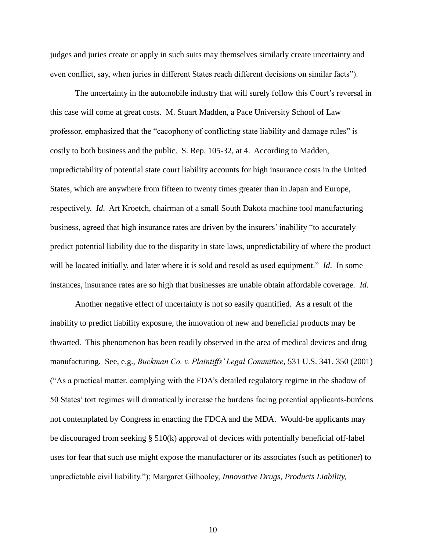judges and juries create or apply in such suits may themselves similarly create uncertainty and even conflict, say, when juries in different States reach different decisions on similar facts").

The uncertainty in the automobile industry that will surely follow this Court's reversal in this case will come at great costs. M. Stuart Madden, a Pace University School of Law professor, emphasized that the "cacophony of conflicting state liability and damage rules" is costly to both business and the public. S. Rep. 105-32, at 4. According to Madden, unpredictability of potential state court liability accounts for high insurance costs in the United States, which are anywhere from fifteen to twenty times greater than in Japan and Europe, respectively. *Id*. Art Kroetch, chairman of a small South Dakota machine tool manufacturing business, agreed that high insurance rates are driven by the insurers" inability "to accurately predict potential liability due to the disparity in state laws, unpredictability of where the product will be located initially, and later where it is sold and resold as used equipment." *Id*. In some instances, insurance rates are so high that businesses are unable obtain affordable coverage. *Id*.

Another negative effect of uncertainty is not so easily quantified. As a result of the inability to predict liability exposure, the innovation of new and beneficial products may be thwarted. This phenomenon has been readily observed in the area of medical devices and drug manufacturing. See, e.g., *Buckman Co. v. Plaintiffs' Legal Committee*, 531 U.S. 341, 350 (2001) ("As a practical matter, complying with the FDA"s detailed regulatory regime in the shadow of 50 States" tort regimes will dramatically increase the burdens facing potential applicants-burdens not contemplated by Congress in enacting the FDCA and the MDA. Would-be applicants may be discouraged from seeking § 510(k) approval of devices with potentially beneficial off-label uses for fear that such use might expose the manufacturer or its associates (such as petitioner) to unpredictable civil liability."); Margaret Gilhooley, *Innovative Drugs, Products Liability,*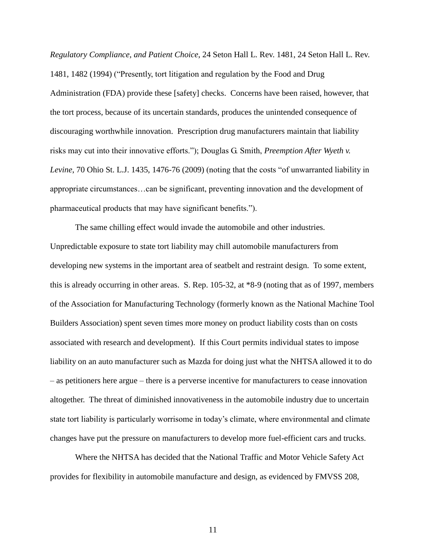*Regulatory Compliance, and Patient Choice*, 24 Seton Hall L. Rev. 1481, 24 Seton Hall L. Rev. 1481, 1482 (1994) ("Presently, tort litigation and regulation by the Food and Drug Administration (FDA) provide these [safety] checks. Concerns have been raised, however, that the tort process, because of its uncertain standards, produces the unintended consequence of discouraging worthwhile innovation. Prescription drug manufacturers maintain that liability risks may cut into their innovative efforts."); Douglas G. Smith, *Preemption After Wyeth v. Levine*, 70 Ohio St. L.J. 1435, 1476-76 (2009) (noting that the costs "of unwarranted liability in appropriate circumstances…can be significant, preventing innovation and the development of pharmaceutical products that may have significant benefits.").

The same chilling effect would invade the automobile and other industries. Unpredictable exposure to state tort liability may chill automobile manufacturers from developing new systems in the important area of seatbelt and restraint design. To some extent, this is already occurring in other areas. S. Rep. 105-32, at \*8-9 (noting that as of 1997, members of the Association for Manufacturing Technology (formerly known as the National Machine Tool Builders Association) spent seven times more money on product liability costs than on costs associated with research and development). If this Court permits individual states to impose liability on an auto manufacturer such as Mazda for doing just what the NHTSA allowed it to do – as petitioners here argue – there is a perverse incentive for manufacturers to cease innovation altogether. The threat of diminished innovativeness in the automobile industry due to uncertain state tort liability is particularly worrisome in today"s climate, where environmental and climate changes have put the pressure on manufacturers to develop more fuel-efficient cars and trucks.

Where the NHTSA has decided that the National Traffic and Motor Vehicle Safety Act provides for flexibility in automobile manufacture and design, as evidenced by FMVSS 208,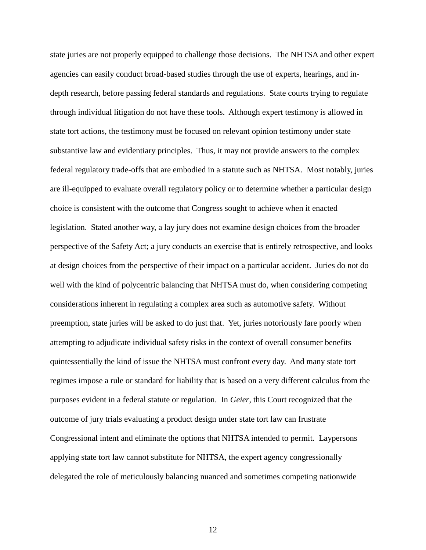state juries are not properly equipped to challenge those decisions. The NHTSA and other expert agencies can easily conduct broad-based studies through the use of experts, hearings, and indepth research, before passing federal standards and regulations. State courts trying to regulate through individual litigation do not have these tools. Although expert testimony is allowed in state tort actions, the testimony must be focused on relevant opinion testimony under state substantive law and evidentiary principles. Thus, it may not provide answers to the complex federal regulatory trade-offs that are embodied in a statute such as NHTSA. Most notably, juries are ill-equipped to evaluate overall regulatory policy or to determine whether a particular design choice is consistent with the outcome that Congress sought to achieve when it enacted legislation. Stated another way, a lay jury does not examine design choices from the broader perspective of the Safety Act; a jury conducts an exercise that is entirely retrospective, and looks at design choices from the perspective of their impact on a particular accident. Juries do not do well with the kind of polycentric balancing that NHTSA must do, when considering competing considerations inherent in regulating a complex area such as automotive safety. Without preemption, state juries will be asked to do just that. Yet, juries notoriously fare poorly when attempting to adjudicate individual safety risks in the context of overall consumer benefits – quintessentially the kind of issue the NHTSA must confront every day. And many state tort regimes impose a rule or standard for liability that is based on a very different calculus from the purposes evident in a federal statute or regulation. In *Geier*, this Court recognized that the outcome of jury trials evaluating a product design under state tort law can frustrate Congressional intent and eliminate the options that NHTSA intended to permit. Laypersons applying state tort law cannot substitute for NHTSA, the expert agency congressionally delegated the role of meticulously balancing nuanced and sometimes competing nationwide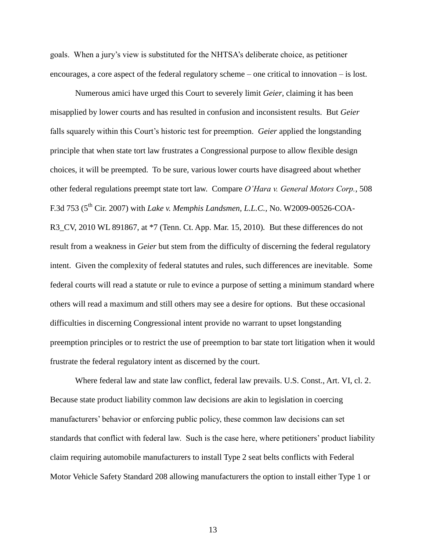goals. When a jury"s view is substituted for the NHTSA"s deliberate choice, as petitioner encourages, a core aspect of the federal regulatory scheme – one critical to innovation – is lost.

Numerous amici have urged this Court to severely limit *Geier*, claiming it has been misapplied by lower courts and has resulted in confusion and inconsistent results. But *Geier* falls squarely within this Court's historic test for preemption. *Geier* applied the longstanding principle that when state tort law frustrates a Congressional purpose to allow flexible design choices, it will be preempted. To be sure, various lower courts have disagreed about whether other federal regulations preempt state tort law. Compare *O'Hara v. General Motors Corp.*, 508 F.3d 753 (5th Cir. 2007) with *Lake v. Memphis Landsmen, L.L.C.,* No. W2009-00526-COA-R3\_CV, 2010 WL 891867, at \*7 (Tenn. Ct. App. Mar. 15, 2010)*.* But these differences do not result from a weakness in *Geier* but stem from the difficulty of discerning the federal regulatory intent. Given the complexity of federal statutes and rules, such differences are inevitable. Some federal courts will read a statute or rule to evince a purpose of setting a minimum standard where others will read a maximum and still others may see a desire for options. But these occasional difficulties in discerning Congressional intent provide no warrant to upset longstanding preemption principles or to restrict the use of preemption to bar state tort litigation when it would frustrate the federal regulatory intent as discerned by the court.

Where federal law and state law conflict, federal law prevails. U.S. Const., Art. VI, cl. 2. Because state product liability common law decisions are akin to legislation in coercing manufacturers' behavior or enforcing public policy, these common law decisions can set standards that conflict with federal law. Such is the case here, where petitioners" product liability claim requiring automobile manufacturers to install Type 2 seat belts conflicts with Federal Motor Vehicle Safety Standard 208 allowing manufacturers the option to install either Type 1 or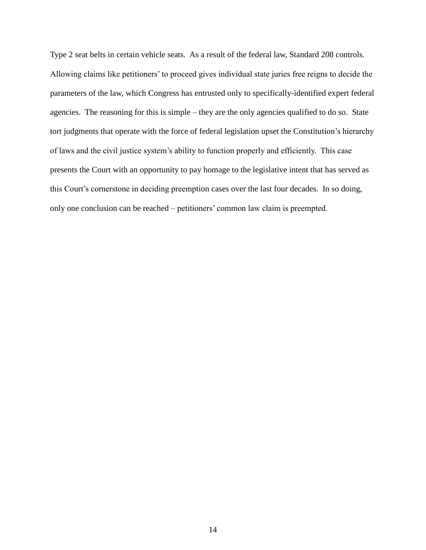Type 2 seat belts in certain vehicle seats. As a result of the federal law, Standard 208 controls. Allowing claims like petitioners" to proceed gives individual state juries free reigns to decide the parameters of the law, which Congress has entrusted only to specifically-identified expert federal agencies. The reasoning for this is simple – they are the only agencies qualified to do so. State tort judgments that operate with the force of federal legislation upset the Constitution's hierarchy of laws and the civil justice system"s ability to function properly and efficiently. This case presents the Court with an opportunity to pay homage to the legislative intent that has served as this Court's cornerstone in deciding preemption cases over the last four decades. In so doing, only one conclusion can be reached – petitioners" common law claim is preempted.